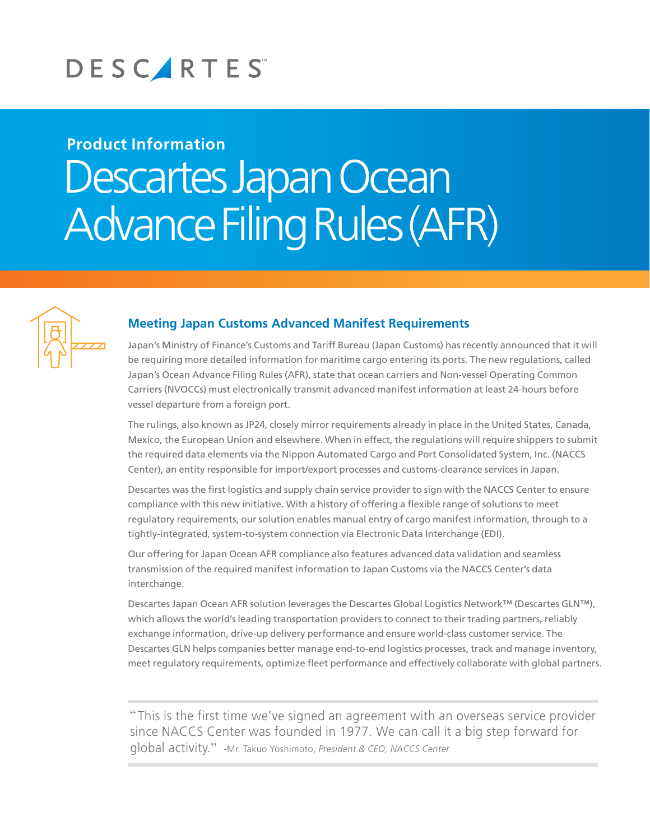# DESCARTES

# **Product Information** Descartes Japan Ocean Advance Filing Rules (AFR)



## **Meeting Japan Customs Advanced Manifest Requirements**

Japan's Ministry of Finance's Customs and Tariff Bureau (Japan Customs) has recently announced that it will be requiring more detailed information for maritime cargo entering its ports. The new regulations, called Japan's Ocean Advance Filing Rules (AFR), state that ocean carriers and Non-vessel Operating Common Carriers (NVOCCs) must electronically transmit advanced manifest information at least 24-hours before vessel departure from a foreign port.

The rulings, also known as JP24, closely mirror requirements already in place in the United States, Canada, Mexico, the European Union and elsewhere. When in effect, the regulations will require shippers to submit the required data elements via the Nippon Automated Cargo and Port Consolidated System, Inc. (NACCS Center), an entity responsible for import/export processes and customs-clearance services in Japan.

Descartes was the first logistics and supply chain service provider to sign with the NACCS Center to ensure compliance with this new initiative. With a history of offering a flexible range of solutions to meet regulatory requirements, our solution enables manual entry of cargo manifest information, through to a tightly-integrated, system-to-system connection via Electronic Data Interchange (EDI).

Our offering for Japan Ocean AFR compliance also features advanced data validation and seamless transmission of the required manifest information to Japan Customs via the NACCS Center's data interchange.

Descartes Japan Ocean AFR solution leverages the Descartes Global Logistics Network™ (Descartes GLN™), which allows the world's leading transportation providers to connect to their trading partners, reliably exchange information, drive-up delivery performance and ensure world-class customer service. The Descartes GLN helps companies better manage end-to-end logistics processes, track and manage inventory, meet regulatory requirements, optimize fleet performance and effectively collaborate with global partners.

" This is the first time we've signed an agreement with an overseas service provider since NACCS Center was founded in 1977. We can call it a big step forward for global activity." -Mr. Takuo Yoshimoto, *President & CEO, NACCS Center*